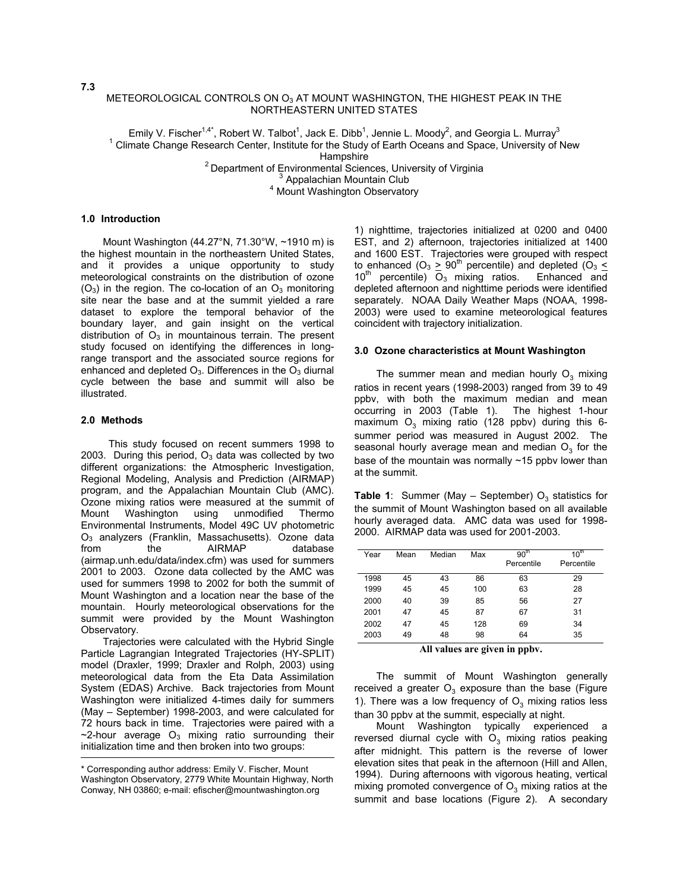### METEOROLOGICAL CONTROLS ON O<sub>3</sub> AT MOUNT WASHINGTON, THE HIGHEST PEAK IN THE NORTHEASTERN UNITED STATES

Emily V. Fischer<sup>1,4\*</sup>, Robert W. Talbot<sup>1</sup>, Jack E. Dibb<sup>1</sup>, Jennie L. Moody<sup>2</sup>, and Georgia L. Murray<sup>3</sup> <sup>1</sup> Climate Change Research Center, Institute for the Study of Earth Oceans and Space, University of New Hampshire<br><sup>2</sup> Department of Environmental Sciences, University of Virginia  $3$  Appalachian Mountain Club

<sup>4</sup> Mount Washington Observatory

### **1.0 Introduction**

Mount Washington (44.27°N, 71.30°W, ~1910 m) is the highest mountain in the northeastern United States, and it provides a unique opportunity to study meteorological constraints on the distribution of ozone  $(O_3)$  in the region. The co-location of an  $O_3$  monitoring site near the base and at the summit yielded a rare dataset to explore the temporal behavior of the boundary layer, and gain insight on the vertical distribution of  $O_3$  in mountainous terrain. The present study focused on identifying the differences in longrange transport and the associated source regions for enhanced and depleted  $O_3$ . Differences in the  $O_3$  diurnal cycle between the base and summit will also be illustrated.

#### **2.0 Methods**

This study focused on recent summers 1998 to 2003. During this period,  $O<sub>3</sub>$  data was collected by two different organizations: the Atmospheric Investigation, Regional Modeling, Analysis and Prediction (AIRMAP) program, and the Appalachian Mountain Club (AMC). Ozone mixing ratios were measured at the summit of Mount Washington using unmodified Thermo Environmental Instruments, Model 49C UV photometric O3 analyzers (Franklin, Massachusetts). Ozone data from the AIRMAP database (airmap.unh.edu/data/index.cfm) was used for summers 2001 to 2003. Ozone data collected by the AMC was used for summers 1998 to 2002 for both the summit of Mount Washington and a location near the base of the mountain. Hourly meteorological observations for the summit were provided by the Mount Washington Observatory.

Trajectories were calculated with the Hybrid Single Particle Lagrangian Integrated Trajectories (HY-SPLIT) model (Draxler, 1999; Draxler and Rolph, 2003) using meteorological data from the Eta Data Assimilation System (EDAS) Archive. Back trajectories from Mount Washington were initialized 4-times daily for summers (May – September) 1998-2003, and were calculated for 72 hours back in time. Trajectories were paired with a  $\sim$ 2-hour average O<sub>3</sub> mixing ratio surrounding their initialization time and then broken into two groups:

1) nighttime, trajectories initialized at 0200 and 0400 EST, and 2) afternoon, trajectories initialized at 1400 and 1600 EST. Trajectories were grouped with respect to enhanced ( $O_3 \ge 90^{\text{th}}$  percentile) and depleted ( $O_3 \le 10^{\text{th}}$  percentile)  $O_3$  mixing ratios. Enhanced and  $10^{th}$  percentile) O<sub>3</sub> mixing ratios. depleted afternoon and nighttime periods were identified separately. NOAA Daily Weather Maps (NOAA, 1998- 2003) were used to examine meteorological features coincident with trajectory initialization.

#### **3.0 Ozone characteristics at Mount Washington**

The summer mean and median hourly  $O_3$  mixing ratios in recent years (1998-2003) ranged from 39 to 49 ppbv, with both the maximum median and mean occurring in 2003 (Table 1). The highest 1-hour maximum  $O_3$  mixing ratio (128 ppbv) during this 6summer period was measured in August 2002. The seasonal hourly average mean and median  $O<sub>3</sub>$  for the base of the mountain was normally  $\sim$ 15 ppbv lower than at the summit.

**Table 1:** Summer (May – September)  $O_3$  statistics for the summit of Mount Washington based on all available hourly averaged data. AMC data was used for 1998- 2000. AIRMAP data was used for 2001-2003.

| Year | Mean | Median | Max | 90 <sup>th</sup> | $10^{\text{th}}$ |
|------|------|--------|-----|------------------|------------------|
|      |      |        |     | Percentile       | Percentile       |
|      |      |        |     |                  |                  |
| 1998 | 45   | 43     | 86  | 63               | 29               |
| 1999 | 45   | 45     | 100 | 63               | 28               |
| 2000 | 40   | 39     | 85  | 56               | 27               |
| 2001 | 47   | 45     | 87  | 67               | 31               |
| 2002 | 47   | 45     | 128 | 69               | 34               |
| 2003 | 49   | 48     | 98  | 64               | 35               |
|      |      |        |     |                  |                  |

**All values are given in ppbv.**

The summit of Mount Washington generally received a greater  $O_3$  exposure than the base (Figure 1). There was a low frequency of  $O<sub>3</sub>$  mixing ratios less than 30 ppbv at the summit, especially at night.

Mount Washington typically experienced a reversed diurnal cycle with  $O_3$  mixing ratios peaking after midnight. This pattern is the reverse of lower elevation sites that peak in the afternoon (Hill and Allen, 1994). During afternoons with vigorous heating, vertical mixing promoted convergence of  $O<sub>3</sub>$  mixing ratios at the summit and base locations (Figure 2). A secondary

**7.3** 

<sup>\*</sup> Corresponding author address: Emily V. Fischer, Mount Washington Observatory, 2779 White Mountain Highway, North Conway, NH 03860; e-mail: efischer@mountwashington.org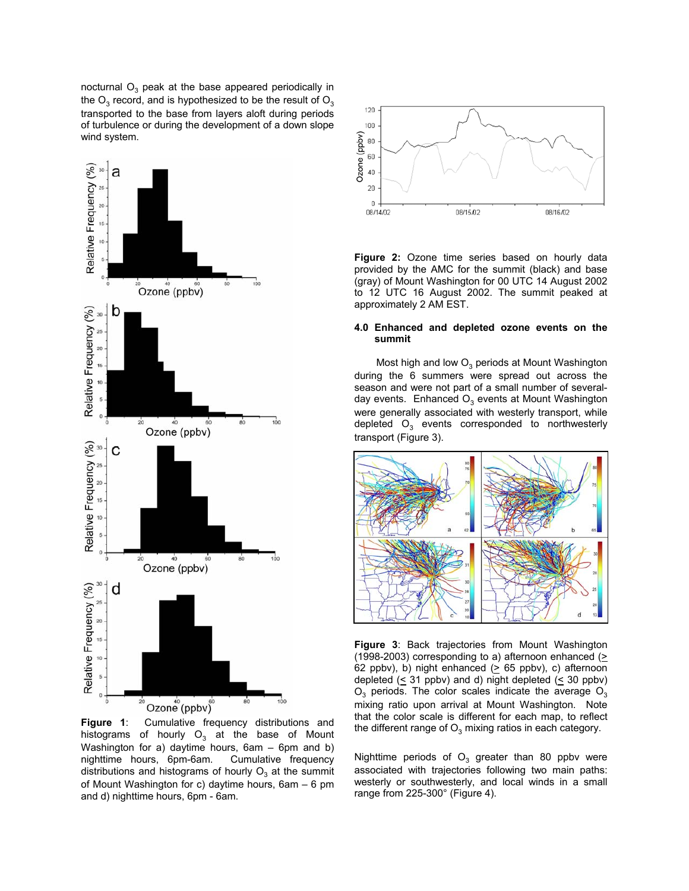nocturnal  $O_3$  peak at the base appeared periodically in the  $O_3$  record, and is hypothesized to be the result of  $O_3$ transported to the base from layers aloft during periods of turbulence or during the development of a down slope wind system.



**Figure 1**: Cumulative frequency distributions and histograms of hourly  $O_3$  at the base of Mount Washington for a) daytime hours, 6am – 6pm and b) nighttime hours, 6pm-6am. Cumulative frequency distributions and histograms of hourly  $O<sub>3</sub>$  at the summit of Mount Washington for c) daytime hours, 6am – 6 pm and d) nighttime hours, 6pm - 6am.



**Figure 2:** Ozone time series based on hourly data provided by the AMC for the summit (black) and base (gray) of Mount Washington for 00 UTC 14 August 2002 to 12 UTC 16 August 2002. The summit peaked at approximately 2 AM EST.

#### **4.0 Enhanced and depleted ozone events on the summit**

Most high and low  $O_3$  periods at Mount Washington during the 6 summers were spread out across the season and were not part of a small number of severalday events. Enhanced  $O_3$  events at Mount Washington were generally associated with westerly transport, while depleted  $O_3$  events corresponded to northwesterly transport (Figure 3).



**Figure 3**: Back trajectories from Mount Washington (1998-2003) corresponding to a) afternoon enhanced (> 62 ppbv), b) night enhanced  $($  > 65 ppbv), c) afternoon depleted  $( \leq 31$  ppbv) and d) night depleted  $( \leq 30$  ppbv)  $O_3$  periods. The color scales indicate the average  $O_3$ mixing ratio upon arrival at Mount Washington. Note that the color scale is different for each map, to reflect the different range of  $O_3$  mixing ratios in each category.

Nighttime periods of  $O_3$  greater than 80 ppbv were associated with trajectories following two main paths: westerly or southwesterly, and local winds in a small range from 225-300° (Figure 4).